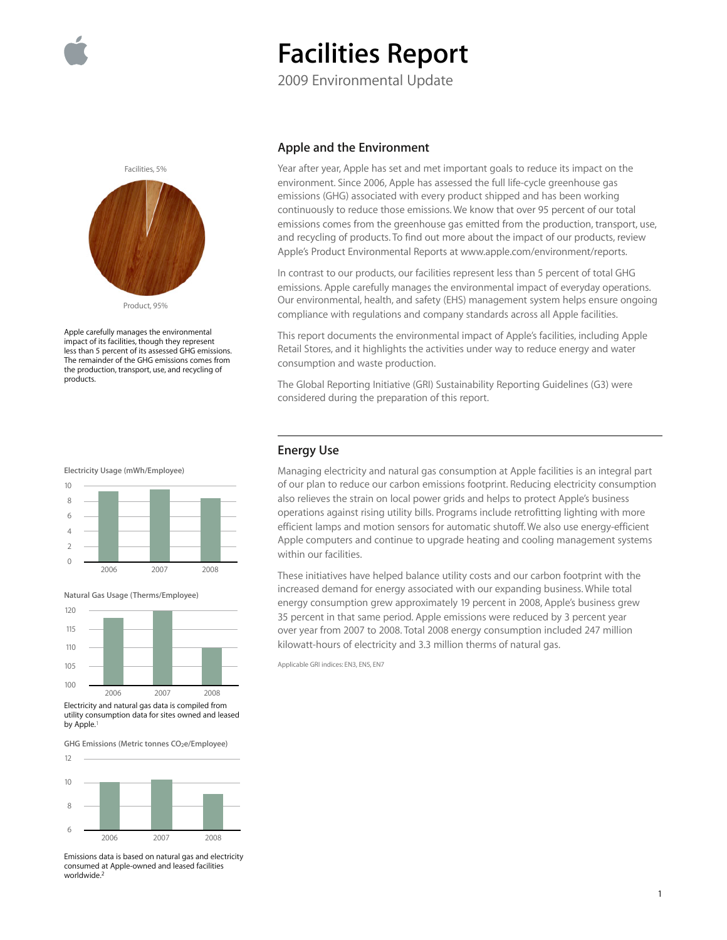

# **Facilities Report**

2009 Environmental Update



Apple carefully manages the environmental impact of its facilities, though they represent less than 5 percent of its assessed GHG emissions. The remainder of the GHG emissions comes from the production, transport, use, and recycling of products.





**Natural Gas Usage (Therms/Employee)**



utility consumption data for sites owned and leased by Apple.

GHG Emissions (Metric tonnes CO<sub>2</sub>e/Employee)



Emissions data is based on natural gas and electricity consumed at Apple-owned and leased facilities worldwide.<sup>2</sup>

### **Apple and the Environment**

Year after year, Apple has set and met important goals to reduce its impact on the environment. Since 2006, Apple has assessed the full life-cycle greenhouse gas emissions (GHG) associated with every product shipped and has been working continuously to reduce those emissions. We know that over 95 percent of our total emissions comes from the greenhouse gas emitted from the production, transport, use, and recycling of products. To find out more about the impact of our products, review Apple's Product Environmental Reports at www.apple.com/environment/reports.

In contrast to our products, our facilities represent less than 5 percent of total GHG emissions. Apple carefully manages the environmental impact of everyday operations. Our environmental, health, and safety (EHS) management system helps ensure ongoing compliance with regulations and company standards across all Apple facilities.

This report documents the environmental impact of Apple's facilities, including Apple Retail Stores, and it highlights the activities under way to reduce energy and water consumption and waste production.

The Global Reporting Initiative (GRI) Sustainability Reporting Guidelines (G3) were considered during the preparation of this report.

#### **Energy Use**

Managing electricity and natural gas consumption at Apple facilities is an integral part of our plan to reduce our carbon emissions footprint. Reducing electricity consumption also relieves the strain on local power grids and helps to protect Apple's business operations against rising utility bills. Programs include retrofitting lighting with more efficient lamps and motion sensors for automatic shutoff. We also use energy-efficient Apple computers and continue to upgrade heating and cooling management systems within our facilities.

These initiatives have helped balance utility costs and our carbon footprint with the increased demand for energy associated with our expanding business. While total energy consumption grew approximately 19 percent in 2008, Apple's business grew 35 percent in that same period. Apple emissions were reduced by 3 percent year over year from 2007 to 2008. Total 2008 energy consumption included 247 million kilowatt-hours of electricity and 3.3 million therms of natural gas.

Applicable GRI indices: EN3, EN5, EN7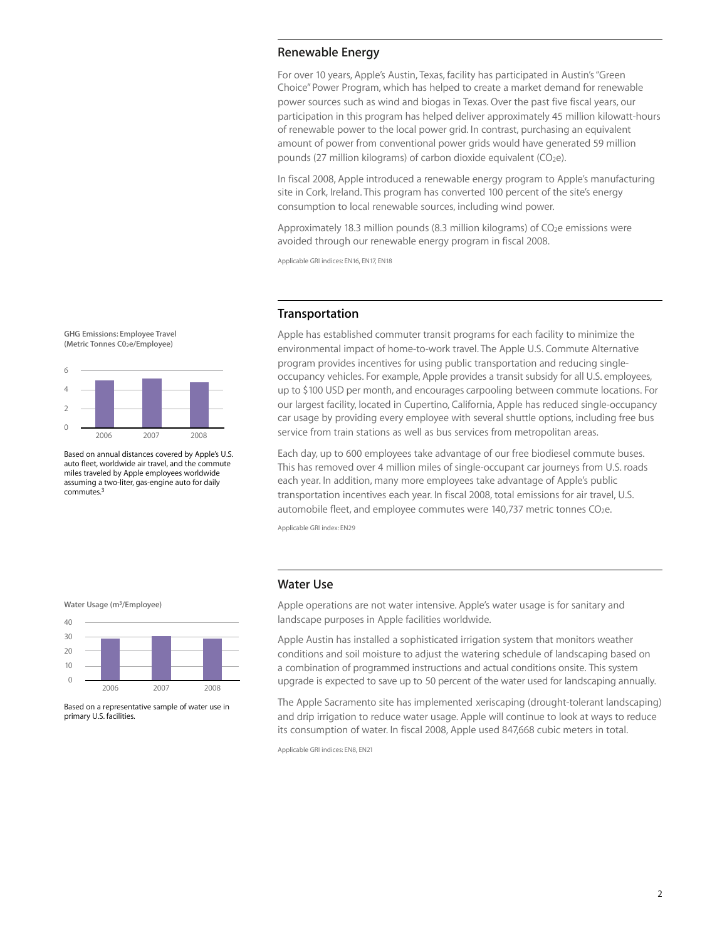### **Renewable Energy**

For over 10 years, Apple's Austin, Texas, facility has participated in Austin's "Green Choice" Power Program, which has helped to create a market demand for renewable power sources such as wind and biogas in Texas. Over the past five fiscal years, our participation in this program has helped deliver approximately 45 million kilowatt-hours of renewable power to the local power grid. In contrast, purchasing an equivalent amount of power from conventional power grids would have generated 59 million pounds (27 million kilograms) of carbon dioxide equivalent ( $CO<sub>2</sub>e$ ).

In fiscal 2008, Apple introduced a renewable energy program to Apple's manufacturing site in Cork, Ireland. This program has converted 100 percent of the site's energy consumption to local renewable sources, including wind power.

Approximately 18.3 million pounds (8.3 million kilograms) of  $CO<sub>2</sub>e$  emissions were avoided through our renewable energy program in fiscal 2008.

Applicable GRI indices: EN16, EN17, EN18

## **Transportation**

Apple has established commuter transit programs for each facility to minimize the environmental impact of home-to-work travel. The Apple U.S. Commute Alternative program provides incentives for using public transportation and reducing singleoccupancy vehicles. For example, Apple provides a transit subsidy for all U.S. employees, up to \$100 USD per month, and encourages carpooling between commute locations. For our largest facility, located in Cupertino, California, Apple has reduced single-occupancy car usage by providing every employee with several shuttle options, including free bus service from train stations as well as bus services from metropolitan areas.

Each day, up to 600 employees take advantage of our free biodiesel commute buses. This has removed over 4 million miles of single-occupant car journeys from U.S. roads each year. In addition, many more employees take advantage of Apple's public transportation incentives each year. In fiscal 2008, total emissions for air travel, U.S. automobile fleet, and employee commutes were 140,737 metric tonnes  $CO<sub>2</sub>e$ .

Applicable GRI index: EN29

#### **Water Usage (m3/Employee)**



Based on a representative sample of water use in primary U.S. facilities.

## **Water Use**

Apple operations are not water intensive. Apple's water usage is for sanitary and landscape purposes in Apple facilities worldwide.

Apple Austin has installed a sophisticated irrigation system that monitors weather conditions and soil moisture to adjust the watering schedule of landscaping based on a combination of programmed instructions and actual conditions onsite. This system upgrade is expected to save up to 50 percent of the water used for landscaping annually.

The Apple Sacramento site has implemented xeriscaping (drought-tolerant landscaping) and drip irrigation to reduce water usage. Apple will continue to look at ways to reduce its consumption of water. In fiscal 2008, Apple used 847,668 cubic meters in total.

Applicable GRI indices: EN8, EN21



6



Based on annual distances covered by Apple's U.S. auto fleet, worldwide air travel, and the commute miles traveled by Apple employees worldwide assuming a two-liter, gas-engine auto for daily commutes.<sup>3</sup>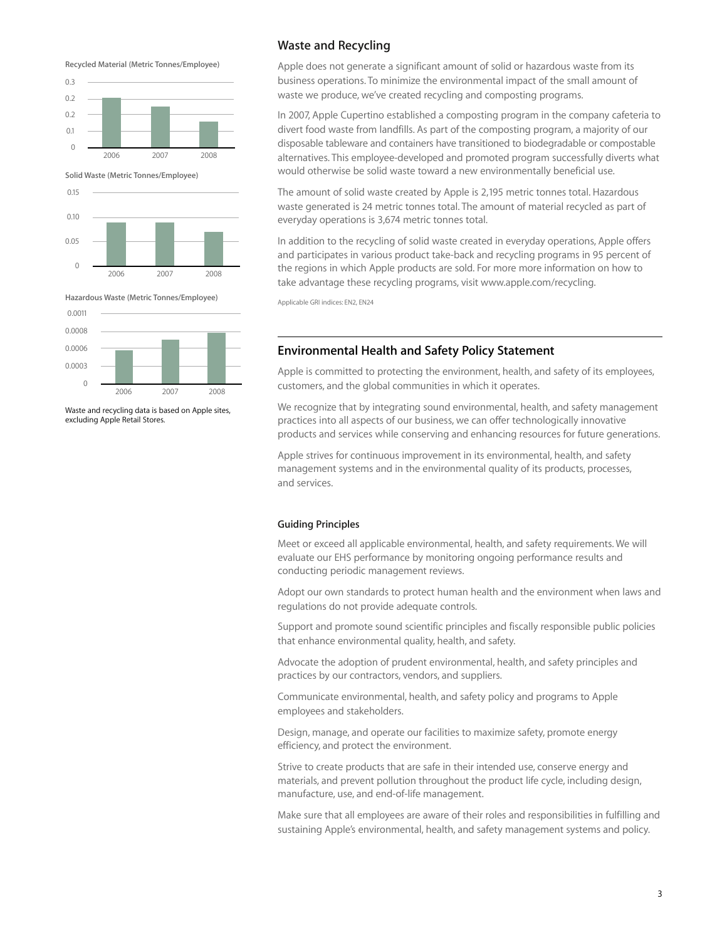**Recycled Material (Metric Tonnes/Employee)**



**Solid Waste (Metric Tonnes/Employee)**



**Hazardous Waste (Metric Tonnes/Employee)**



Waste and recycling data is based on Apple sites, excluding Apple Retail Stores.

# **Waste and Recycling**

Apple does not generate a significant amount of solid or hazardous waste from its business operations. To minimize the environmental impact of the small amount of waste we produce, we've created recycling and composting programs.

In 2007, Apple Cupertino established a composting program in the company cafeteria to divert food waste from landfills. As part of the composting program, a majority of our disposable tableware and containers have transitioned to biodegradable or compostable alternatives. This employee-developed and promoted program successfully diverts what would otherwise be solid waste toward a new environmentally beneficial use.

The amount of solid waste created by Apple is 2,195 metric tonnes total. Hazardous waste generated is 24 metric tonnes total. The amount of material recycled as part of everyday operations is 3,674 metric tonnes total.

In addition to the recycling of solid waste created in everyday operations, Apple offers and participates in various product take-back and recycling programs in 95 percent of the regions in which Apple products are sold. For more more information on how to take advantage these recycling programs, visit www.apple.com/recycling.

Applicable GRI indices: EN2, EN24

#### **Environmental Health and Safety Policy Statement**

Apple is committed to protecting the environment, health, and safety of its employees, customers, and the global communities in which it operates.

We recognize that by integrating sound environmental, health, and safety management practices into all aspects of our business, we can offer technologically innovative products and services while conserving and enhancing resources for future generations.

Apple strives for continuous improvement in its environmental, health, and safety management systems and in the environmental quality of its products, processes, and services.

#### **Guiding Principles**

Meet or exceed all applicable environmental, health, and safety requirements. We will evaluate our EHS performance by monitoring ongoing performance results and conducting periodic management reviews.

Adopt our own standards to protect human health and the environment when laws and regulations do not provide adequate controls.

Support and promote sound scientific principles and fiscally responsible public policies that enhance environmental quality, health, and safety.

Advocate the adoption of prudent environmental, health, and safety principles and practices by our contractors, vendors, and suppliers.

Communicate environmental, health, and safety policy and programs to Apple employees and stakeholders.

Design, manage, and operate our facilities to maximize safety, promote energy efficiency, and protect the environment.

Strive to create products that are safe in their intended use, conserve energy and materials, and prevent pollution throughout the product life cycle, including design, manufacture, use, and end-of-life management.

Make sure that all employees are aware of their roles and responsibilities in fulfilling and sustaining Apple's environmental, health, and safety management systems and policy.